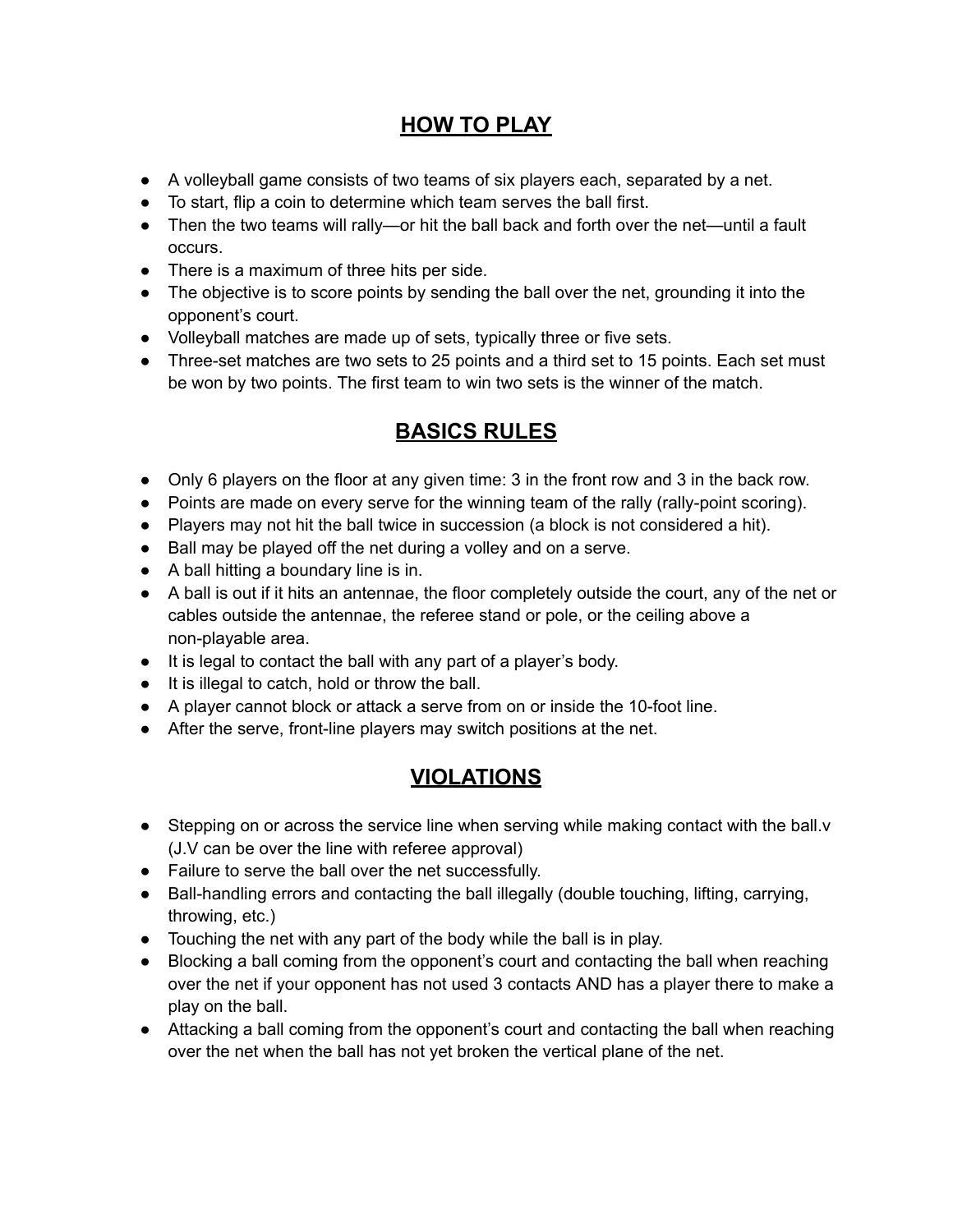## **HOW TO PLAY**

- A volleyball game consists of two teams of six players each, separated by a net.
- To start, flip a coin to determine which team serves the ball first.
- Then the two teams will rally—or hit the ball back and forth over the net—until a fault occurs.
- There is a maximum of three hits per side.
- The objective is to score points by sending the ball over the net, grounding it into the opponent's court.
- Volleyball matches are made up of sets, typically three or five sets.
- Three-set matches are two sets to 25 points and a third set to 15 points. Each set must be won by two points. The first team to win two sets is the winner of the match.

## **BASICS RULES**

- Only 6 players on the floor at any given time: 3 in the front row and 3 in the back row.
- Points are made on every serve for the winning team of the rally (rally-point scoring).
- Players may not hit the ball twice in succession (a block is not considered a hit).
- Ball may be played off the net during a volley and on a serve.
- A ball hitting a boundary line is in.
- A ball is out if it hits an antennae, the floor completely outside the court, any of the net or cables outside the antennae, the referee stand or pole, or the ceiling above a non-playable area.
- It is legal to contact the ball with any part of a player's body.
- It is illegal to catch, hold or throw the ball.
- A player cannot block or attack a serve from on or inside the 10-foot line.
- After the serve, front-line players may switch positions at the net.

## **VIOLATIONS**

- Stepping on or across the service line when serving while making contact with the ball.v (J.V can be over the line with referee approval)
- Failure to serve the ball over the net successfully.
- Ball-handling errors and contacting the ball illegally (double touching, lifting, carrying, throwing, etc.)
- Touching the net with any part of the body while the ball is in play.
- Blocking a ball coming from the opponent's court and contacting the ball when reaching over the net if your opponent has not used 3 contacts AND has a player there to make a play on the ball.
- Attacking a ball coming from the opponent's court and contacting the ball when reaching over the net when the ball has not yet broken the vertical plane of the net.